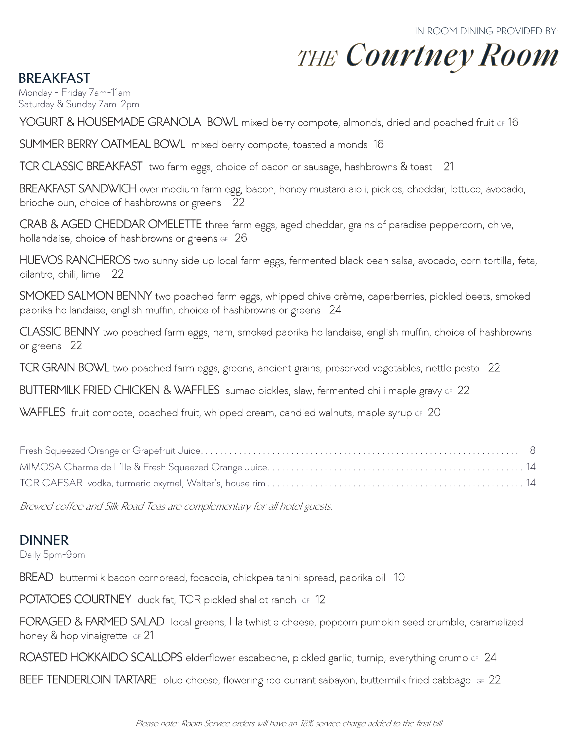# **THE Courtney Room**

**BREAKFAST**

Monday - Friday 7am-11am Saturday & Sunday 7am-2pm

YOGURT & HOUSEMADE GRANOLA BOWL mixed berry compote, almonds, dried and poached fruit GF 16

SUMMER BERRY OATMEAL BOWL mixed berry compote, toasted almonds 16

TCR CLASSIC BREAKFAST two farm eggs, choice of bacon or sausage, hashbrowns & toast 21

BREAKFAST SANDWICH over medium farm egg, bacon, honey mustard aioli, pickles, cheddar, lettuce, avocado, brioche bun, choice of hashbrowns or greens 22

CRAB & AGED CHEDDAR OMELETTE three farm eggs, aged cheddar, grains of paradise peppercorn, chive, hollandaise, choice of hashbrowns or greens  $GF 26$ 

HUEVOS RANCHEROS two sunny side up local farm eggs, fermented black bean salsa, avocado, corn tortilla, feta, cilantro, chili, lime 22

SMOKED SALMON BENNY two poached farm eggs, whipped chive crème, caperberries, pickled beets, smoked paprika hollandaise, english muffin, choice of hashbrowns or greens 24

CLASSIC BENNY two poached farm eggs, ham, smoked paprika hollandaise, english muffin, choice of hashbrowns or greens 22

TCR GRAIN BOWL two poached farm eggs, greens, ancient grains, preserved vegetables, nettle pesto 22

BUTTERMILK FRIED CHICKEN & WAFFLES sumac pickles, slaw, fermented chili maple gravy GF 22

WAFFLES fruit compote, poached fruit, whipped cream, candied walnuts, maple syrup GF 20

Brewed coffee and Silk Road Teas are complementary for all hotel guests.

### **DINNER**

Daily 5pm-9pm

BREAD buttermilk bacon cornbread, focaccia, chickpea tahini spread, paprika oil 10

POTATOES COURTNEY duck fat, TCR pickled shallot ranch GF 12

FORAGED & FARMED SALAD local greens, Haltwhistle cheese, popcorn pumpkin seed crumble, caramelized honey & hop vinaigrette GF 21

ROASTED HOKKAIDO SCALLOPS elderflower escabeche, pickled garlic, turnip, everything crumb GF 24

BEEF TENDERLOIN TARTARE blue cheese, flowering red currant sabayon, buttermilk fried cabbage GF 22